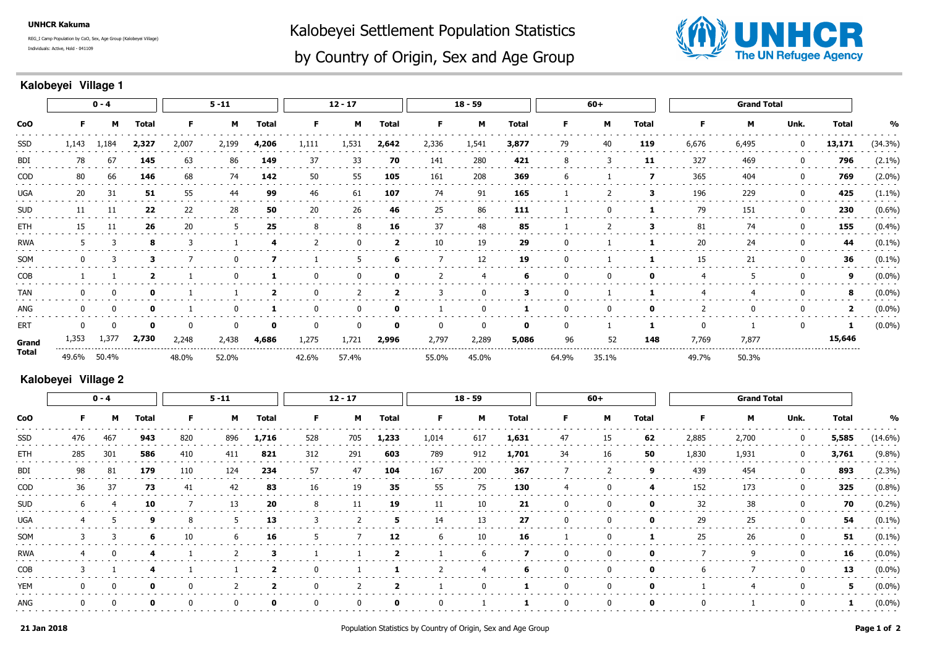**UNHCR Kakuma**

Individuals: Active, Hold - 041109REG\_I Camp Population by CoO, Sex, Age Group (Kalobeyei Village) Kalobeyei Settlement Population Statistics



## by Country of Origin, Sex and Age Group

## **Kalobeyei Village 1**

| <b>CoO</b> | $0 - 4$  |          |              | $5 - 11$ |       |              | $12 - 17$    |       |                         | $18 - 59$ |          |              | 60+   |       |              | <b>Grand Total</b> |              |              |              |               |
|------------|----------|----------|--------------|----------|-------|--------------|--------------|-------|-------------------------|-----------|----------|--------------|-------|-------|--------------|--------------------|--------------|--------------|--------------|---------------|
|            | F.       | М        | <b>Total</b> | F.       | M     | <b>Total</b> | F.           | м     | <b>Total</b>            | F.        | M        | <b>Total</b> | F.    | м     | <b>Total</b> | F.                 | м            | Unk.         | <b>Total</b> | $\frac{0}{0}$ |
| SSD        | 1,143    | 1,184    | 2,327        | 2,007    | 2,199 | 4,206        | 1,111        | 1,531 | 2,642                   | 2,336     | 1,541    | 3,877        | 79    | 40    | 119          | 6,676              | 6,495        | $\mathbf 0$  | 13,171       | (34.3%)       |
| BDI        | 78       | 67       | 145          | 63       | 86    | 149          | 37           | 33    | 70                      | 141       | 280      | 421          | 8     | 3     | 11           | 327                | 469          | 0            | 796          | $(2.1\%)$     |
| <b>COD</b> | 80       | 66       | 146          | 68       | 74    | 142          | 50           | 55    | 105                     | 161       | 208      | 369          | 6     |       | 7            | 365                | 404          | $\bf{0}$     | 769          | $(2.0\%)$     |
| UGA        | 20       | 31       | 51           | 55       | 44    | 99           | 46           | 61    | 107                     | 74        | 91       | 165          |       |       | 3            | 196                | 229          | 0            | 425          | $(1.1\%)$     |
| <b>SUD</b> | 11       | 11       | 22           | 22       | 28    | 50           | 20           | 26    | 46                      | 25        | 86       | 111          |       | 0     |              | 79                 | 151          | 0            | 230          | $(0.6\%)$     |
| ETH        | 15       | 11       | 26           | 20       | 5     | 25           | 8            | 8     | 16                      | 37        | 48       | 85           |       | 2     | 3            | 81                 | 74           | $\mathbf 0$  | 155          | (0.4%)        |
| <b>RWA</b> |          | 3        | -8           |          |       |              | 2            |       | $\overline{2}$          | 10        | 19       | 29           |       |       |              | 20                 | 24           | 0            | 44           | $(0.1\%)$     |
| SOM        |          |          | 3            |          |       |              |              |       | 6                       |           | 12       | 19           |       |       |              | 15                 | 21           | $\mathbf{0}$ | 36           | $(0.1\%)$     |
| COB        |          |          |              |          |       |              | 0            |       | 0                       |           | -4       | 6            |       | 0     | 0            | 4                  | 5            | 0            | 9            | $(0.0\%)$     |
| <b>TAN</b> |          | $\Omega$ | $\mathbf o$  |          |       |              | $\Omega$     |       | $\overline{\mathbf{2}}$ | 3         | $\Omega$ | 3            |       |       |              |                    | 4            | $\mathbf 0$  | 8            | $(0.0\%)$     |
| ANG        |          | $\Omega$ | $\mathbf o$  |          |       |              | <sup>0</sup> |       | 0                       |           | - 0      |              |       | 0     |              |                    | $\mathbf{0}$ | 0            | 2            | $(0.0\%)$     |
| ERT        | $\Omega$ | 0        | 0            |          |       | 0            | 0            |       | 0                       | 0         | 0        | $\mathbf{0}$ |       |       |              | 0                  |              | $\mathbf 0$  | 1            | $(0.0\%)$     |
| Grand      | 1,353    | 1,377    | 2,730        | 2,248    | 2,438 | 4,686        | 1,275        | 1,721 | 2,996                   | 2,797     | 2,289    | 5,086        | 96    | 52    | 148          | 7,769              | 7,877        |              | 15,646       |               |
| Total      | 49.6%    | 50.4%    |              | 48.0%    | 52.0% |              | 42.6%        | 57.4% |                         | 55.0%     | 45.0%    |              | 64.9% | 35.1% |              | 49.7%              | 50.3%        |              |              |               |

## **Kalobeyei Village 2**

| CoO        | $0 - 4$      |     |              | $5 - 11$ |                |                | $12 - 17$   |     |                | $18 - 59$ |     |       | $60+$       |              |              | <b>Grand Total</b> |       |                |              |            |
|------------|--------------|-----|--------------|----------|----------------|----------------|-------------|-----|----------------|-----------|-----|-------|-------------|--------------|--------------|--------------------|-------|----------------|--------------|------------|
|            | F.           | M   | <b>Total</b> | F.       | M              | Total          | F.          | M   | Total          | F.        | M   | Total | F.          | M            | Total        | F.                 | M     | Unk.           | <b>Total</b> | %          |
| SSD        | 476          | 467 | 943          | 820      | 896            | 1,716          | 528         | 705 | 1,233          | 1,014     | 617 | 1,631 | 47          | 15           | 62           | 2,885              | 2,700 | $\bf{0}$       | 5,585        | $(14.6\%)$ |
| ETH        | 285          | 301 | 586          | 410      | 411            | 821            | 312         | 291 | 603            | 789       | 912 | 1,701 | 34          | 16           | 50           | 1,830              | 1,931 | $\overline{0}$ | 3,761        | $(9.8\%)$  |
| BDI        | 98           | 81  | 179          | 110      | 124            | 234            | 57          | 47  | 104            | 167       | 200 | 367   |             |              | 9            | 439                | 454   | $\bf{0}$       | 893          | $(2.3\%)$  |
| COD        | 36           | 37  | 73           | 41       | 42             | 83             | 16          | 19  | 35             | 55        | 75  | 130   | -4          | $\mathbf{0}$ | 4            | 152                | 173   | $\mathbf{0}$   | 325          | $(0.8\%)$  |
| <b>SUD</b> | b            |     | 10           |          | 13             | 20             | 8           | 11  | 19             | 11        | 10  | 21    | 0           | 0            | $\mathbf{o}$ | 32                 | 38    | 0              | 70           | $(0.2\%)$  |
| <b>UGA</b> |              | 5   | 9            | 8        | 5              | 13             | 3           |     | 5              | 14        | 13  | 27    | 0           | 0            | 0            | 29                 | 25    | 0              | 54           | $(0.1\%)$  |
| SOM        |              | 3   | 6            | 10       | 6              | 16             | 5           |     | 12             | 6         | 10  | 16    |             | 0            | 1            | 25                 | 26    | 0              | 51           | $(0.1\%)$  |
| RWA        | 4            | 0   | 4            |          | $\overline{2}$ | 3              |             |     | $\overline{2}$ |           | 6   | 7     | 0           | 0            | 0            |                    | 9     | $\bf{0}$       | 16           | $(0.0\%)$  |
| <b>COB</b> |              |     | -4           |          |                | $\overline{2}$ | $\mathbf 0$ |     |                | 2         | 4   | 6     | 0           | 0            | 0            | 6                  |       | $\bf{0}$       | 13           | $(0.0\%)$  |
| <b>YEM</b> | $\mathbf{0}$ | 0   | $\mathbf 0$  | 0        | 2              | $\mathbf{2}$   | 0           |     | $\overline{2}$ |           | 0   |       | 0           | 0            | 0            |                    | 4     | 0              | 5            | $(0.0\%)$  |
| ANG        | 0            |     | $\mathbf{o}$ |          | 0              | 0              | $\mathbf 0$ | 0   | $\mathbf 0$    |           |     |       | $\mathbf 0$ | 0            | 0            |                    |       | 0              | 1            | $(0.0\%)$  |